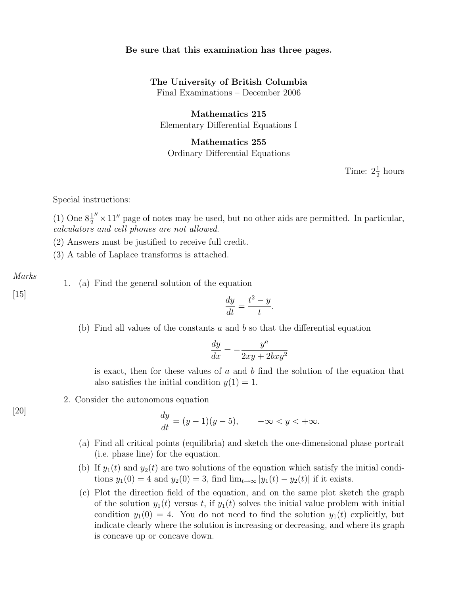#### Be sure that this examination has three pages.

# The University of British Columbia

Final Examinations – December 2006

Mathematics 215 Elementary Differential Equations I

## Mathematics 255 Ordinary Differential Equations

Time:  $2\frac{1}{2}$  hours

Special instructions:

(1) One  $8\frac{1}{2}'' \times 11''$  page of notes may be used, but no other aids are permitted. In particular, calculators and cell phones are not allowed.

(2) Answers must be justified to receive full credit.

(3) A table of Laplace transforms is attached.

Marks

1. (a) Find the general solution of the equation

[15]  $dy$ 

 $\frac{dy}{dt} =$  $t^2-y$ t .

(b) Find all values of the constants  $a$  and  $b$  so that the differential equation

$$
\frac{dy}{dx} = -\frac{y^a}{2xy + 2bxy^2}
$$

is exact, then for these values of  $a$  and  $b$  find the solution of the equation that also satisfies the initial condition  $y(1) = 1$ .

2. Consider the autonomous equation

$$
\frac{dy}{dt} = (y-1)(y-5), \qquad -\infty < y < +\infty.
$$

- (a) Find all critical points (equilibria) and sketch the one-dimensional phase portrait (i.e. phase line) for the equation.
- (b) If  $y_1(t)$  and  $y_2(t)$  are two solutions of the equation which satisfy the initial conditions  $y_1(0) = 4$  and  $y_2(0) = 3$ , find  $\lim_{t\to\infty} |y_1(t) - y_2(t)|$  if it exists.
- (c) Plot the direction field of the equation, and on the same plot sketch the graph of the solution  $y_1(t)$  versus t, if  $y_1(t)$  solves the initial value problem with initial condition  $y_1(0) = 4$ . You do not need to find the solution  $y_1(t)$  explicitly, but indicate clearly where the solution is increasing or decreasing, and where its graph is concave up or concave down.

 $[20]$  dy